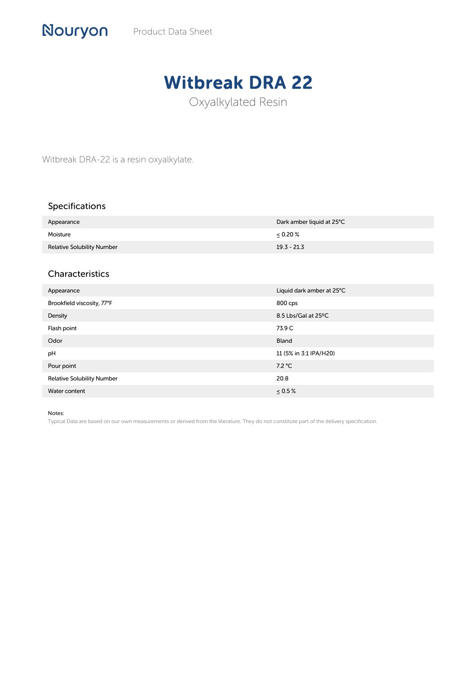## Witbreak DRA 22

Oxyalkylated Resin

Witbreak DRA-22 is a resin oxyalkylate.

## Specifications

| Appearance                        | Dark amber liquid at 25°C |
|-----------------------------------|---------------------------|
| Moisture                          | $0.20\%$                  |
| <b>Relative Solubility Number</b> | $19.3 - 21.3$             |

## Characteristics

| Appearance                        | Liquid dark amber at 25°C |
|-----------------------------------|---------------------------|
| Brookfield viscosity, 77°F        | 800 cps                   |
| Density                           | 8.5 Lbs/Gal at 25°C       |
| Flash point                       | 73.9 C                    |
| Odor                              | <b>Bland</b>              |
| pH                                | 11 (5% in 3:1 IPA/H20)    |
| Pour point                        | 7.2 °C                    |
| <b>Relative Solubility Number</b> | 20.8                      |
| Water content                     | $\leq 0.5\%$              |

Notes:

Typical Data are based on our own measurements or derived from the literature. They do not constitute part of the delivery specification.